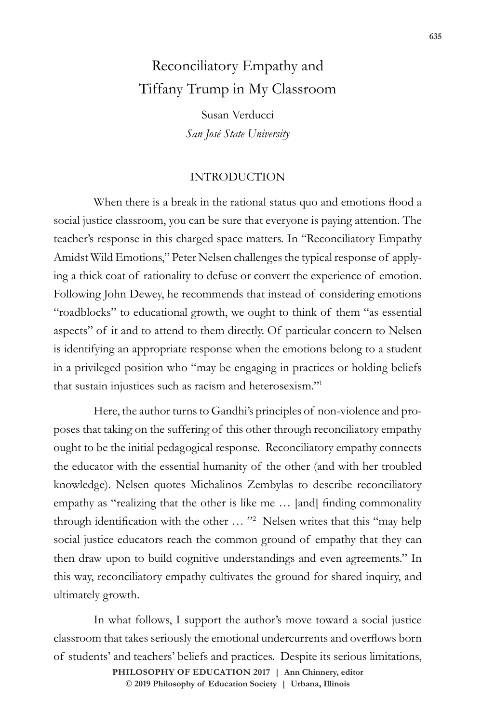## Reconciliatory Empathy and Tiffany Trump in My Classroom

Susan Verducci *San José State University*

## INTRODUCTION

When there is a break in the rational status quo and emotions flood a social justice classroom, you can be sure that everyone is paying attention. The teacher's response in this charged space matters. In "Reconciliatory Empathy Amidst Wild Emotions," Peter Nelsen challenges the typical response of applying a thick coat of rationality to defuse or convert the experience of emotion. Following John Dewey, he recommends that instead of considering emotions "roadblocks" to educational growth, we ought to think of them "as essential aspects" of it and to attend to them directly. Of particular concern to Nelsen is identifying an appropriate response when the emotions belong to a student in a privileged position who "may be engaging in practices or holding beliefs that sustain injustices such as racism and heterosexism."1

Here, the author turns to Gandhi's principles of non-violence and proposes that taking on the suffering of this other through reconciliatory empathy ought to be the initial pedagogical response. Reconciliatory empathy connects the educator with the essential humanity of the other (and with her troubled knowledge). Nelsen quotes Michalinos Zembylas to describe reconciliatory empathy as "realizing that the other is like me … [and] finding commonality through identification with the other … "<sup>2</sup> Nelsen writes that this "may help social justice educators reach the common ground of empathy that they can then draw upon to build cognitive understandings and even agreements." In this way, reconciliatory empathy cultivates the ground for shared inquiry, and ultimately growth.

In what follows, I support the author's move toward a social justice classroom that takes seriously the emotional undercurrents and overflows born of students' and teachers' beliefs and practices. Despite its serious limitations,

**doi: 10.47925/73.635 PHILOSOPHY OF EDUCATION 2017 | Ann Chinnery, editor © 2019 Philosophy of Education Society | Urbana, Illinois**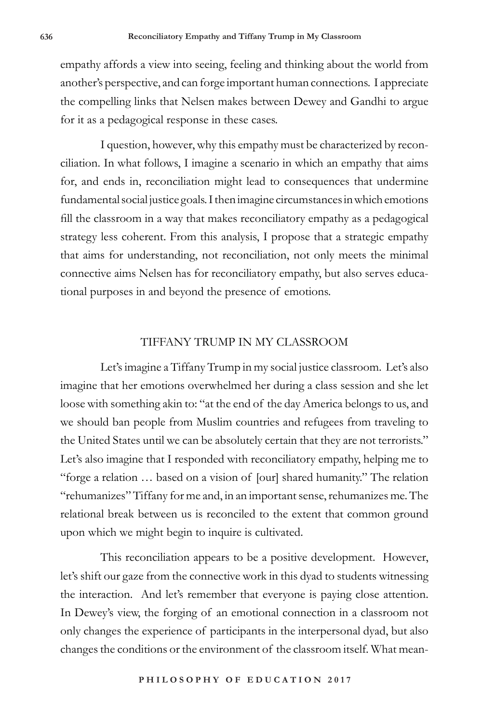empathy affords a view into seeing, feeling and thinking about the world from another's perspective, and can forge important human connections. I appreciate the compelling links that Nelsen makes between Dewey and Gandhi to argue for it as a pedagogical response in these cases.

I question, however, why this empathy must be characterized by reconciliation. In what follows, I imagine a scenario in which an empathy that aims for, and ends in, reconciliation might lead to consequences that undermine fundamental social justice goals. I then imagine circumstances in which emotions fill the classroom in a way that makes reconciliatory empathy as a pedagogical strategy less coherent. From this analysis, I propose that a strategic empathy that aims for understanding, not reconciliation, not only meets the minimal connective aims Nelsen has for reconciliatory empathy, but also serves educational purposes in and beyond the presence of emotions.

## TIFFANY TRUMP IN MY CLASSROOM

Let's imagine a Tiffany Trump in my social justice classroom. Let's also imagine that her emotions overwhelmed her during a class session and she let loose with something akin to: "at the end of the day America belongs to us, and we should ban people from Muslim countries and refugees from traveling to the United States until we can be absolutely certain that they are not terrorists." Let's also imagine that I responded with reconciliatory empathy, helping me to "forge a relation … based on a vision of [our] shared humanity." The relation "rehumanizes" Tiffany for me and, in an important sense, rehumanizes me. The relational break between us is reconciled to the extent that common ground upon which we might begin to inquire is cultivated.

This reconciliation appears to be a positive development. However, let's shift our gaze from the connective work in this dyad to students witnessing the interaction. And let's remember that everyone is paying close attention. In Dewey's view, the forging of an emotional connection in a classroom not only changes the experience of participants in the interpersonal dyad, but also changes the conditions or the environment of the classroom itself. What mean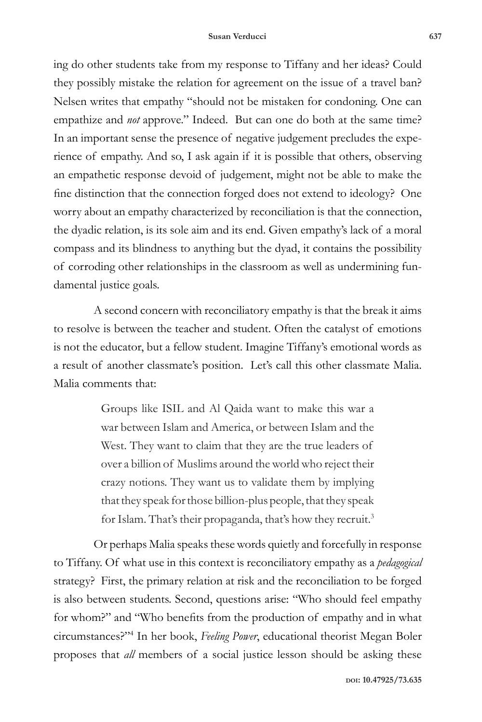ing do other students take from my response to Tiffany and her ideas? Could they possibly mistake the relation for agreement on the issue of a travel ban? Nelsen writes that empathy "should not be mistaken for condoning. One can empathize and *not* approve." Indeed. But can one do both at the same time? In an important sense the presence of negative judgement precludes the experience of empathy. And so, I ask again if it is possible that others, observing an empathetic response devoid of judgement, might not be able to make the fine distinction that the connection forged does not extend to ideology? One worry about an empathy characterized by reconciliation is that the connection, the dyadic relation, is its sole aim and its end. Given empathy's lack of a moral compass and its blindness to anything but the dyad, it contains the possibility of corroding other relationships in the classroom as well as undermining fundamental justice goals.

A second concern with reconciliatory empathy is that the break it aims to resolve is between the teacher and student. Often the catalyst of emotions is not the educator, but a fellow student. Imagine Tiffany's emotional words as a result of another classmate's position. Let's call this other classmate Malia. Malia comments that:

> Groups like ISIL and Al Qaida want to make this war a war between Islam and America, or between Islam and the West. They want to claim that they are the true leaders of over a billion of Muslims around the world who reject their crazy notions. They want us to validate them by implying that they speak for those billion-plus people, that they speak for Islam. That's their propaganda, that's how they recruit.<sup>3</sup>

Or perhaps Malia speaks these words quietly and forcefully in response to Tiffany. Of what use in this context is reconciliatory empathy as a *pedagogical* strategy? First, the primary relation at risk and the reconciliation to be forged is also between students. Second, questions arise: "Who should feel empathy for whom?" and "Who benefits from the production of empathy and in what circumstances?"4 In her book, *Feeling Power*, educational theorist Megan Boler proposes that *all* members of a social justice lesson should be asking these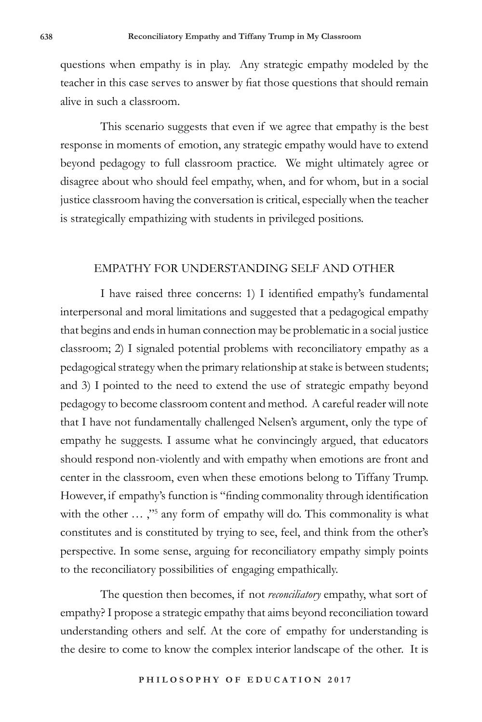questions when empathy is in play. Any strategic empathy modeled by the teacher in this case serves to answer by fiat those questions that should remain alive in such a classroom.

This scenario suggests that even if we agree that empathy is the best response in moments of emotion, any strategic empathy would have to extend beyond pedagogy to full classroom practice. We might ultimately agree or disagree about who should feel empathy, when, and for whom, but in a social justice classroom having the conversation is critical, especially when the teacher is strategically empathizing with students in privileged positions.

## EMPATHY FOR UNDERSTANDING SELF AND OTHER

I have raised three concerns: 1) I identified empathy's fundamental interpersonal and moral limitations and suggested that a pedagogical empathy that begins and ends in human connection may be problematic in a social justice classroom; 2) I signaled potential problems with reconciliatory empathy as a pedagogical strategy when the primary relationship at stake is between students; and 3) I pointed to the need to extend the use of strategic empathy beyond pedagogy to become classroom content and method. A careful reader will note that I have not fundamentally challenged Nelsen's argument, only the type of empathy he suggests. I assume what he convincingly argued, that educators should respond non-violently and with empathy when emotions are front and center in the classroom, even when these emotions belong to Tiffany Trump. However, if empathy's function is "finding commonality through identification with the other ...,"<sup>5</sup> any form of empathy will do. This commonality is what constitutes and is constituted by trying to see, feel, and think from the other's perspective. In some sense, arguing for reconciliatory empathy simply points to the reconciliatory possibilities of engaging empathically.

The question then becomes, if not *reconciliatory* empathy, what sort of empathy? I propose a strategic empathy that aims beyond reconciliation toward understanding others and self. At the core of empathy for understanding is the desire to come to know the complex interior landscape of the other. It is